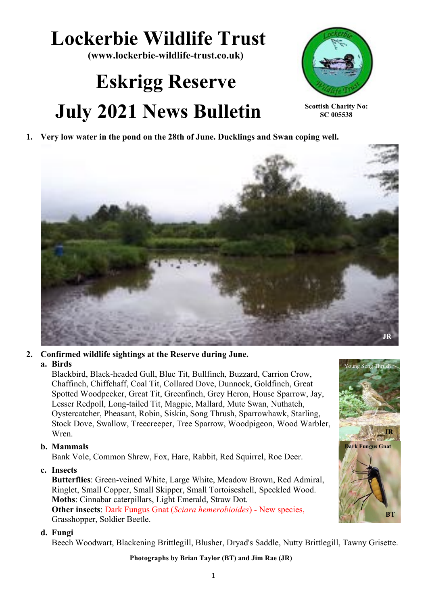# **Lockerbie Wildlife Trust**

**(www.lockerbie-wildlife-trust.co.uk)**

# **Eskrigg Reserve July 2021 News Bulletin**



**Scottish Charity No: SC 005538**

**JR**

**BT**

Young Song Thrush

**Dark Fungus Gnat**

**1. Very low water in the pond on the 28th of June. Ducklings and Swan coping well.**



#### **2. Confirmed wildlife sightings at the Reserve during June.**

#### **a. Birds**

Blackbird, Black-headed Gull, Blue Tit, Bullfinch, Buzzard, Carrion Crow, Chaffinch, Chiffchaff, Coal Tit, Collared Dove, Dunnock, Goldfinch, Great Spotted Woodpecker, Great Tit, Greenfinch, Grey Heron, House Sparrow, Jay, Lesser Redpoll, Long-tailed Tit, Magpie, Mallard, Mute Swan, Nuthatch, Oystercatcher, Pheasant, Robin, Siskin, Song Thrush, Sparrowhawk, Starling, Stock Dove, Swallow, Treecreeper, Tree Sparrow, Woodpigeon, Wood Warbler, Wren.

## **b. Mammals**

Bank Vole, Common Shrew, Fox, Hare, Rabbit, Red Squirrel, Roe Deer.

## **c. Insects**

**Butterflies**: Green-veined White, Large White, Meadow Brown, Red Admiral, Ringlet, Small Copper, Small Skipper, Small Tortoiseshell, Speckled Wood. **Moths**: Cinnabar caterpillars, Light Emerald, Straw Dot. **Other insects**: Dark Fungus Gnat (*Sciara hemerobioides*) - New species, Grasshopper, Soldier Beetle.

#### **d. Fungi**

Beech Woodwart, Blackening Brittlegill, Blusher, Dryad's Saddle, Nutty Brittlegill, Tawny Grisette.

**Photographs by Brian Taylor (BT) and Jim Rae (JR)**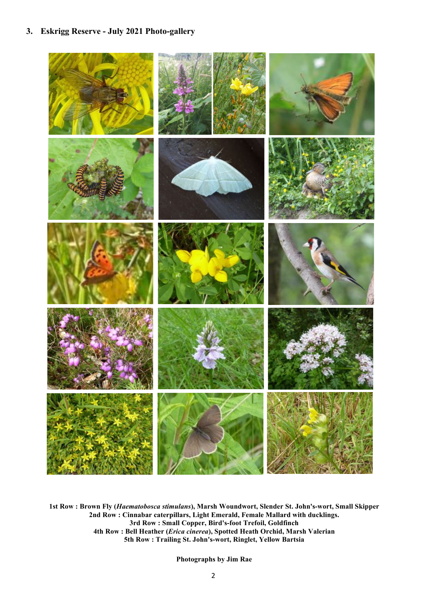#### **3. Eskrigg Reserve - July 2021 Photo-gallery**



**1st Row : Brown Fly (***Haematobosca stimulans***), Marsh Woundwort, Slender St. John's-wort, Small Skipper 2nd Row : Cinnabar caterpillars, Light Emerald, Female Mallard with ducklings. 3rd Row : Small Copper, Bird's-foot Trefoil, Goldfinch 4th Row : Bell Heather (***Erica cinerea***), Spotted Heath Orchid, Marsh Valerian 5th Row : Trailing St. John's-wort, Ringlet, Yellow Bartsia**

**Photographs by Jim Rae**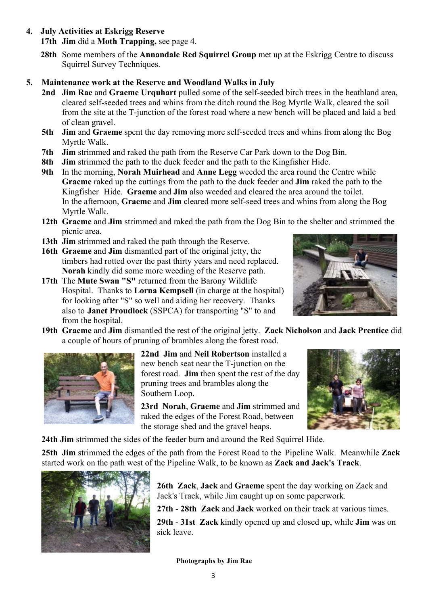**4. July Activities at Eskrigg Reserve**

**17th Jim** did a **Moth Trapping,** see page 4.

**28th** Some members of the **Annandale Red Squirrel Group** met up at the Eskrigg Centre to discuss Squirrel Survey Techniques.

#### **5. Maintenance work at the Reserve and Woodland Walks in July**

- **2nd Jim Rae** and **Graeme Urquhart** pulled some of the self-seeded birch trees in the heathland area, cleared self-seeded trees and whins from the ditch round the Bog Myrtle Walk, cleared the soil from the site at the T-junction of the forest road where a new bench will be placed and laid a bed of clean gravel.
- **5th Jim** and **Graeme** spent the day removing more self-seeded trees and whins from along the Bog Myrtle Walk.
- **7th Jim** strimmed and raked the path from the Reserve Car Park down to the Dog Bin.
- **8th Jim** strimmed the path to the duck feeder and the path to the Kingfisher Hide.
- **9th** In the morning, **Norah Muirhead** and **Anne Legg** weeded the area round the Centre while **Graeme** raked up the cuttings from the path to the duck feeder and **Jim** raked the path to the Kingfisher Hide. **Graeme** and **Jim** also weeded and cleared the area around the toilet. In the afternoon, **Graeme** and **Jim** cleared more self-seed trees and whins from along the Bog Myrtle Walk.
- **12th Graeme** and **Jim** strimmed and raked the path from the Dog Bin to the shelter and strimmed the picnic area.
- **13th Jim** strimmed and raked the path through the Reserve.
- **16th Graeme** and **Jim** dismantled part of the original jetty, the timbers had rotted over the past thirty years and need replaced. **Norah** kindly did some more weeding of the Reserve path.
- **17th** The **Mute Swan "S"** returned from the Barony Wildlife Hospital. Thanks to **Lorna Kempsell** (in charge at the hospital) for looking after "S" so well and aiding her recovery. Thanks also to **Janet Proudlock** (SSPCA) for transporting "S" to and from the hospital.



**19th Graeme** and **Jim** dismantled the rest of the original jetty. **Zack Nicholson** and **Jack Prentice** did a couple of hours of pruning of brambles along the forest road.



**22nd Jim** and **Neil Robertson** installed a new bench seat near the T-junction on the forest road. **Jim** then spent the rest of the day pruning trees and brambles along the Southern Loop.

**23rd Norah**, **Graeme** and **Jim** strimmed and raked the edges of the Forest Road, between the storage shed and the gravel heaps.



**24th Jim** strimmed the sides of the feeder burn and around the Red Squirrel Hide.

**25th Jim** strimmed the edges of the path from the Forest Road to the Pipeline Walk. Meanwhile **Zack**  started work on the path west of the Pipeline Walk, to be known as **Zack and Jack's Track**.



**26th Zack**, **Jack** and **Graeme** spent the day working on Zack and Jack's Track, while Jim caught up on some paperwork.

**27th** - **28th Zack** and **Jack** worked on their track at various times.

**29th** - **31st Zack** kindly opened up and closed up, while **Jim** was on sick leave.

**Photographs by Jim Rae**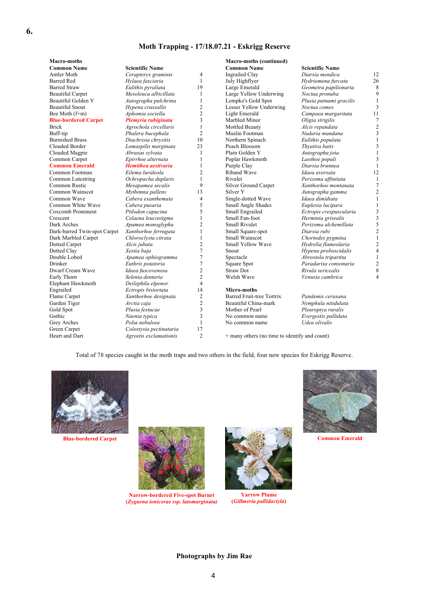#### **Moth Trapping - 17/18.07.21 - Eskrigg Reserve**

| Macro-moths                  |                            |                         | <b>Macro-moths (continued)</b>                |                         |              |
|------------------------------|----------------------------|-------------------------|-----------------------------------------------|-------------------------|--------------|
| <b>Common Name</b>           | <b>Scientific Name</b>     |                         | <b>Common Name</b>                            | <b>Scientific Name</b>  |              |
| Antler Moth                  | Cerapteryx graminis        | $\overline{4}$          | <b>Ingrailed Clay</b>                         | Diarsia mendica         | 12           |
| <b>Barred Red</b>            | Hylaea fasciaria           | 1                       | July Highflyer                                | Hydriomena furcata      | 26           |
| <b>Barred Straw</b>          | Eulithis pyraliata         | 19                      | Large Emerald                                 | Geometra papilionaria   | ξ            |
| <b>Beautiful Carpet</b>      | Mesoleuca albicillata      | 1                       | Large Yellow Underwing                        | Noctua pronuba          | $\varsigma$  |
| Beautiful Golden Y           | Autographa pulchrina       | 1                       | Lempke's Gold Spot                            | Plusia putnami gracilis | $\mathbf{1}$ |
| <b>Beautiful Snout</b>       | Hypena crassallis          | $\overline{c}$          | Lesser Yellow Underwing                       | Noctua comes            | 3            |
| Bee Moth (f+m)               | Aphomia sociella           | $\overline{c}$          | <b>Light Emerald</b>                          | Campaea margaritata     | 11           |
| <b>Blue-bordered Carpet</b>  | Plemyria rubiginata        | 3                       | Marbled Minor                                 | Oligia strigilis        | 7            |
| <b>Brick</b>                 | Agrochola circellaris      | 1                       | Mottled Beauty                                | Alcis repandata         | 2            |
| Buff-tip                     | Phalera bucephala          | $\overline{c}$          | Muslin Footman                                | Nudaria mundana         | 3            |
| <b>Burnished Brass</b>       | Diachrisia chrysitis       | 10                      | Northern Spinach                              | Eulithis populata       |              |
| Clouded Border               | Lomaspilis marginata       | 23                      | Peach Blossom                                 | Thyatira batis          | 3            |
| Clouded Magpie               | Abraxas sylvata            | 1                       | Plain Golden Y                                | Autographa jota         |              |
| Common Carpet                | Epirrhoe alternata         |                         | Poplar Hawkmoth                               | Laothoe populi          | 3            |
| <b>Common Emerald</b>        | <b>Hemithea</b> aestivaria | 1                       | Purple Clay                                   | Diarsia brunnea         |              |
| Common Footman               | Eilema lurideola           | $\overline{c}$          | Riband Wave                                   | Idaea aversata          | 12           |
| Common Lutestring            | Ochropacha duplaris        | 1                       | Rivulet                                       | Perizoma affinitata     |              |
| Common Rustic                | Mesapamea secalis          | 9                       | Silver Ground Carpet                          | Xanthorhoe montanata    |              |
| Common Wainscot              | Mythimna pallens           | 13                      | Silver <sub>Y</sub>                           | Autographa gamma        | 2            |
| Common Wave                  | Cabera exanthemata         | $\overline{4}$          | Single-dotted Wave                            | Idaea dimidiata         |              |
| Common White Wave            | Cabera pusaria             | 5                       | Small Angle Shades                            | Euplexia lucipara       | 1            |
| Coxcomb Prominent            | Ptilodon capucina          | 5                       | Small Engrailed                               | Ectropis crespuscularia | 3            |
| Crescent                     | Celaena leucostigma        | 1                       | Small Fan-foot                                | Herminia grisealis      | 3            |
| Dark Arches                  | Apamea monoglypha          | $\overline{c}$          | <b>Small Rivulet</b>                          | Perizoma alchemillata   |              |
| Dark-barred Twin-spot Carpet | Xanthorhoe ferrugata       | 1                       | Small Square-spot                             | Diarsia rubi            | 2            |
| Dark Marbled Carpet          | Chloroclysta citrata       | 1                       | Small Wainscot                                | Chortodes pygmina       |              |
| Dotted Carpet                | Alcis jubata               | $\overline{c}$          | Small Yellow Wave                             | Hydrelia flameolaria    |              |
| Dotted Clay                  | Xestia baja                | 7                       | Snout                                         | Hypena proboscidalis    |              |
| Double Lobed                 | Apamea ophiogramma         | 7                       | Spectacle                                     | Abrostola tripartita    |              |
| Drinker                      | Euthrix potatoria          | 7                       | Square Spot                                   | Paradarisa consonaria   |              |
| Dwarf Cream Wave             | Idaea fuscovenosa          | $\overline{c}$          | <b>Straw Dot</b>                              | Rivula sericealis       |              |
| Early Thorn                  | Selenia dentaria           | $\overline{c}$          | Welsh Wave                                    | Venusia cambrica        | 4            |
| Elephant Hawkmoth            | Deilephila elpenor         | $\overline{\mathbf{4}}$ |                                               |                         |              |
| Engrailed                    | Ectropis bistortata        | 14                      | Micro-moths                                   |                         |              |
| Flame Carpet                 | Xanthorhoe designata       | $\overline{c}$          | <b>Barred Fruit-tree Tortrix</b>              | Pandemis cerasana       |              |
| Garden Tiger                 | Arctia caja                | $\overline{c}$          | Beautiful China-mark                          | Nymphula nitidulata     |              |
| Gold Spot                    | Plusia festucae            | 3                       | Mother of Pearl                               | Pleuroptya ruralis      |              |
| Gothic                       | Naenia typica              | 3                       | No common name                                | Evergestis pallidata    |              |
| Grey Arches                  | Polia nebulosa             | 1                       | No common name                                | Udea olivalis           |              |
| Green Carpet                 | Colostysia pectinataria    | 17                      |                                               |                         |              |
| Heart and Dart               | Agrostis exclamationis     | $\overline{c}$          | + many others (no time to identify and count) |                         |              |
|                              |                            |                         |                                               |                         |              |

Total of 78 species caught in the moth traps and two others in the field, four new species for Eskrigg Reserve.





**Narrow-bordered Five-spot Burnet (***Zygaena ionicerae ssp. latomarginata)*



**Yarrow Plume (***Gillmeria pallidactyla***)**



#### **Photographs by Jim Rae**